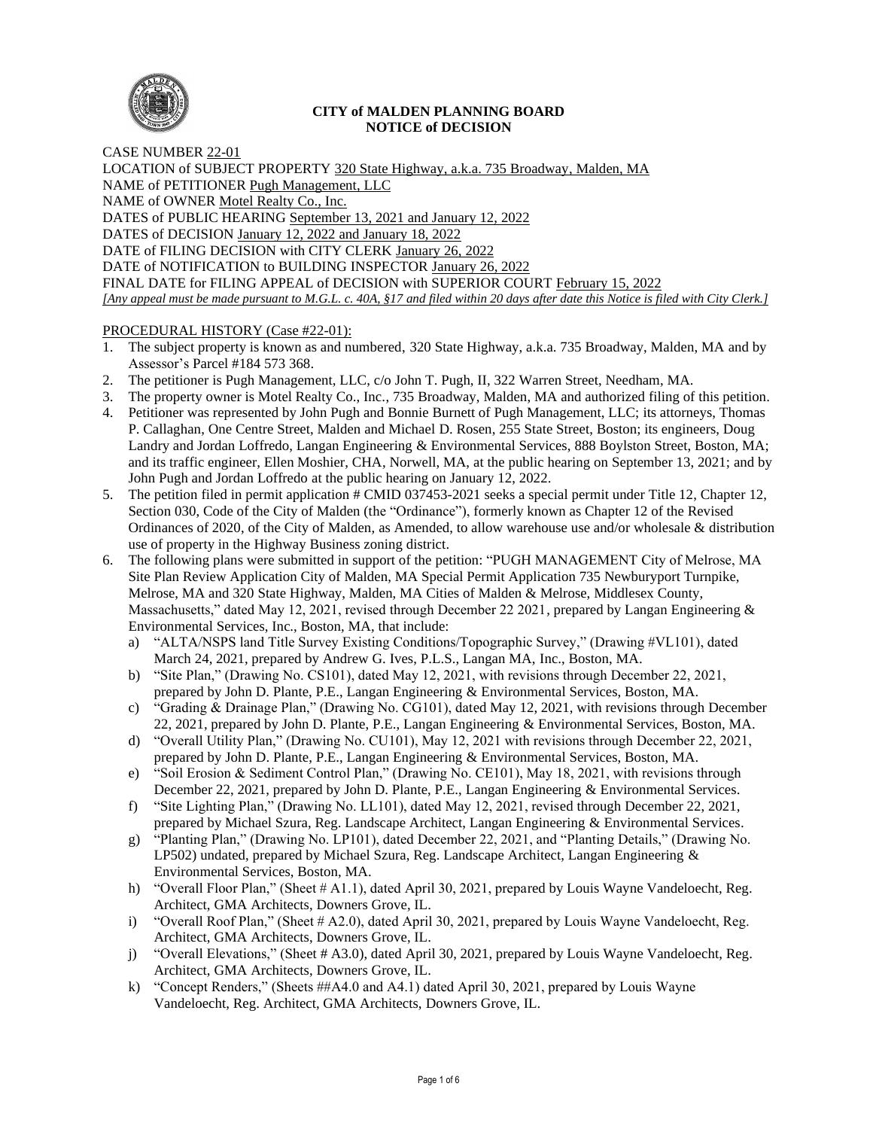

### **CITY of MALDEN PLANNING BOARD NOTICE of DECISION**

CASE NUMBER 22-01 LOCATION of SUBJECT PROPERTY 320 State Highway, a.k.a. 735 Broadway, Malden, MA NAME of PETITIONER Pugh Management, LLC NAME of OWNER Motel Realty Co., Inc. DATES of PUBLIC HEARING September 13, 2021 and January 12, 2022 DATES of DECISION January 12, 2022 and January 18, 2022 DATE of FILING DECISION with CITY CLERK January 26, 2022 DATE of NOTIFICATION to BUILDING INSPECTOR January 26, 2022 FINAL DATE for FILING APPEAL of DECISION with SUPERIOR COURT February 15, 2022 *[Any appeal must be made pursuant to M.G.L. c. 40A, §17 and filed within 20 days after date this Notice is filed with City Clerk.]* 

# PROCEDURAL HISTORY (Case #22-01):

- 1. The subject property is known as and numbered, 320 State Highway, a.k.a. 735 Broadway, Malden, MA and by Assessor's Parcel #184 573 368.
- 2. The petitioner is Pugh Management, LLC, c/o John T. Pugh, II, 322 Warren Street, Needham, MA.
- 3. The property owner is Motel Realty Co., Inc., 735 Broadway, Malden, MA and authorized filing of this petition.
- 4. Petitioner was represented by John Pugh and Bonnie Burnett of Pugh Management, LLC; its attorneys, Thomas P. Callaghan, One Centre Street, Malden and Michael D. Rosen, 255 State Street, Boston; its engineers, Doug Landry and Jordan Loffredo, Langan Engineering & Environmental Services, 888 Boylston Street, Boston, MA; and its traffic engineer, Ellen Moshier, CHA, Norwell, MA, at the public hearing on September 13, 2021; and by John Pugh and Jordan Loffredo at the public hearing on January 12, 2022.
- 5. The petition filed in permit application # CMID 037453-2021 seeks a special permit under Title 12, Chapter 12, Section 030, Code of the City of Malden (the "Ordinance"), formerly known as Chapter 12 of the Revised Ordinances of 2020, of the City of Malden, as Amended, to allow warehouse use and/or wholesale & distribution use of property in the Highway Business zoning district.
- 6. The following plans were submitted in support of the petition: "PUGH MANAGEMENT City of Melrose, MA Site Plan Review Application City of Malden, MA Special Permit Application 735 Newburyport Turnpike, Melrose, MA and 320 State Highway, Malden, MA Cities of Malden & Melrose, Middlesex County, Massachusetts," dated May 12, 2021, revised through December 22 2021, prepared by Langan Engineering & Environmental Services, Inc., Boston, MA, that include:
	- a) "ALTA/NSPS land Title Survey Existing Conditions/Topographic Survey," (Drawing #VL101), dated March 24, 2021, prepared by Andrew G. Ives, P.L.S., Langan MA, Inc., Boston, MA.
	- b) "Site Plan," (Drawing No. CS101), dated May 12, 2021, with revisions through December 22, 2021, prepared by John D. Plante, P.E., Langan Engineering & Environmental Services, Boston, MA.
	- c) "Grading & Drainage Plan," (Drawing No. CG101), dated May 12, 2021, with revisions through December 22, 2021, prepared by John D. Plante, P.E., Langan Engineering & Environmental Services, Boston, MA.
	- d) "Overall Utility Plan," (Drawing No. CU101), May 12, 2021 with revisions through December 22, 2021, prepared by John D. Plante, P.E., Langan Engineering & Environmental Services, Boston, MA.
	- e) "Soil Erosion & Sediment Control Plan," (Drawing No. CE101), May 18, 2021, with revisions through December 22, 2021, prepared by John D. Plante, P.E., Langan Engineering & Environmental Services.
	- f) "Site Lighting Plan," (Drawing No. LL101), dated May 12, 2021, revised through December 22, 2021, prepared by Michael Szura, Reg. Landscape Architect, Langan Engineering & Environmental Services.
	- g) "Planting Plan," (Drawing No. LP101), dated December 22, 2021, and "Planting Details," (Drawing No. LP502) undated, prepared by Michael Szura, Reg. Landscape Architect, Langan Engineering & Environmental Services, Boston, MA.
	- h) "Overall Floor Plan," (Sheet # A1.1), dated April 30, 2021, prepared by Louis Wayne Vandeloecht, Reg. Architect, GMA Architects, Downers Grove, IL.
	- i) "Overall Roof Plan," (Sheet # A2.0), dated April 30, 2021, prepared by Louis Wayne Vandeloecht, Reg. Architect, GMA Architects, Downers Grove, IL.
	- j) "Overall Elevations," (Sheet # A3.0), dated April 30, 2021, prepared by Louis Wayne Vandeloecht, Reg. Architect, GMA Architects, Downers Grove, IL.
	- k) "Concept Renders," (Sheets ##A4.0 and A4.1) dated April 30, 2021, prepared by Louis Wayne Vandeloecht, Reg. Architect, GMA Architects, Downers Grove, IL.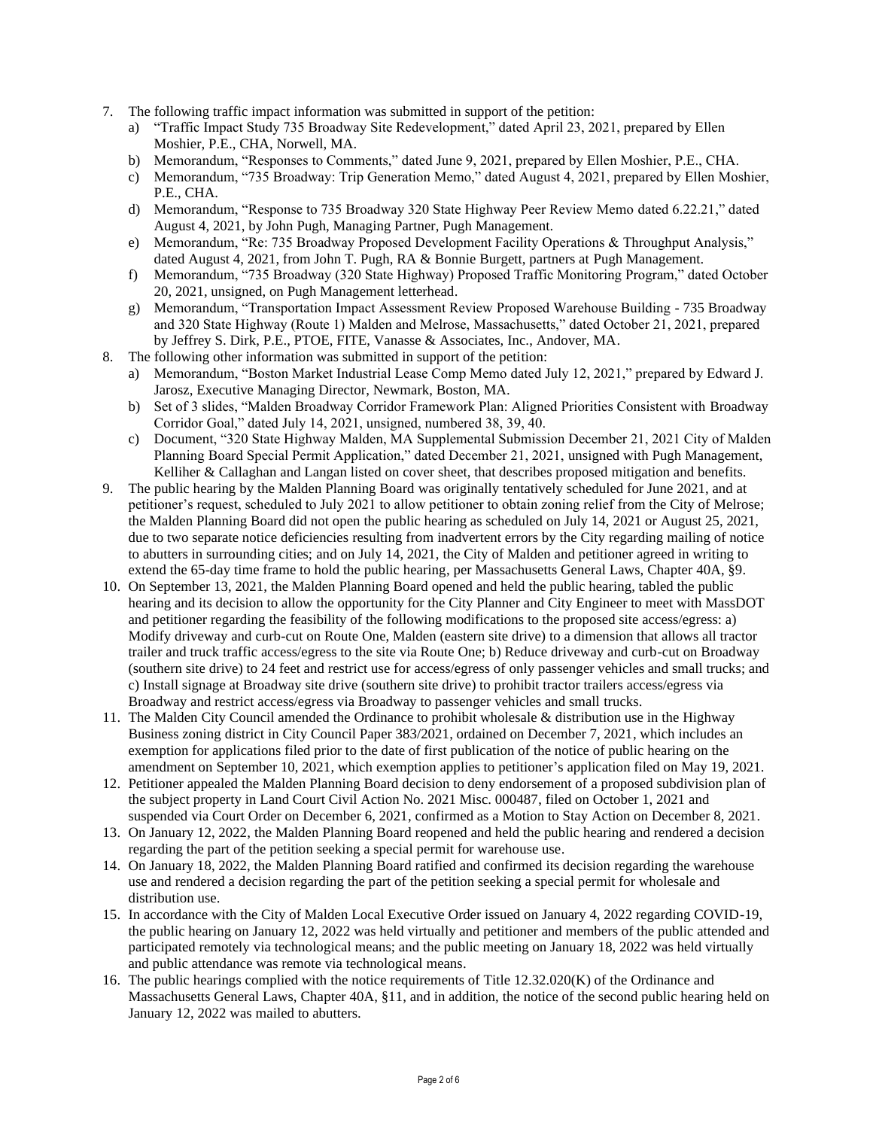- 7. The following traffic impact information was submitted in support of the petition:
	- a) "Traffic Impact Study 735 Broadway Site Redevelopment," dated April 23, 2021, prepared by Ellen Moshier, P.E., CHA, Norwell, MA.
	- b) Memorandum, "Responses to Comments," dated June 9, 2021, prepared by Ellen Moshier, P.E., CHA.
	- c) Memorandum, "735 Broadway: Trip Generation Memo," dated August 4, 2021, prepared by Ellen Moshier, P.E., CHA.
	- d) Memorandum, "Response to 735 Broadway 320 State Highway Peer Review Memo dated 6.22.21," dated August 4, 2021, by John Pugh, Managing Partner, Pugh Management.
	- e) Memorandum, "Re: 735 Broadway Proposed Development Facility Operations & Throughput Analysis," dated August 4, 2021, from John T. Pugh, RA & Bonnie Burgett, partners at Pugh Management.
	- f) Memorandum, "735 Broadway (320 State Highway) Proposed Traffic Monitoring Program," dated October 20, 2021, unsigned, on Pugh Management letterhead.
	- g) Memorandum, "Transportation Impact Assessment Review Proposed Warehouse Building 735 Broadway and 320 State Highway (Route 1) Malden and Melrose, Massachusetts," dated October 21, 2021, prepared by Jeffrey S. Dirk, P.E., PTOE, FITE, Vanasse & Associates, Inc., Andover, MA.
- 8. The following other information was submitted in support of the petition:
	- a) Memorandum, "Boston Market Industrial Lease Comp Memo dated July 12, 2021," prepared by Edward J. Jarosz, Executive Managing Director, Newmark, Boston, MA.
	- b) Set of 3 slides, "Malden Broadway Corridor Framework Plan: Aligned Priorities Consistent with Broadway Corridor Goal," dated July 14, 2021, unsigned, numbered 38, 39, 40.
	- c) Document, "320 State Highway Malden, MA Supplemental Submission December 21, 2021 City of Malden Planning Board Special Permit Application," dated December 21, 2021, unsigned with Pugh Management, Kelliher & Callaghan and Langan listed on cover sheet, that describes proposed mitigation and benefits.
- 9. The public hearing by the Malden Planning Board was originally tentatively scheduled for June 2021, and at petitioner's request, scheduled to July 2021 to allow petitioner to obtain zoning relief from the City of Melrose; the Malden Planning Board did not open the public hearing as scheduled on July 14, 2021 or August 25, 2021, due to two separate notice deficiencies resulting from inadvertent errors by the City regarding mailing of notice to abutters in surrounding cities; and on July 14, 2021, the City of Malden and petitioner agreed in writing to extend the 65-day time frame to hold the public hearing, per Massachusetts General Laws, Chapter 40A, §9.
- 10. On September 13, 2021, the Malden Planning Board opened and held the public hearing, tabled the public hearing and its decision to allow the opportunity for the City Planner and City Engineer to meet with MassDOT and petitioner regarding the feasibility of the following modifications to the proposed site access/egress: a) Modify driveway and curb-cut on Route One, Malden (eastern site drive) to a dimension that allows all tractor trailer and truck traffic access/egress to the site via Route One; b) Reduce driveway and curb-cut on Broadway (southern site drive) to 24 feet and restrict use for access/egress of only passenger vehicles and small trucks; and c) Install signage at Broadway site drive (southern site drive) to prohibit tractor trailers access/egress via Broadway and restrict access/egress via Broadway to passenger vehicles and small trucks.
- 11. The Malden City Council amended the Ordinance to prohibit wholesale & distribution use in the Highway Business zoning district in City Council Paper 383/2021, ordained on December 7, 2021, which includes an exemption for applications filed prior to the date of first publication of the notice of public hearing on the amendment on September 10, 2021, which exemption applies to petitioner's application filed on May 19, 2021.
- 12. Petitioner appealed the Malden Planning Board decision to deny endorsement of a proposed subdivision plan of the subject property in Land Court Civil Action No. 2021 Misc. 000487, filed on October 1, 2021 and suspended via Court Order on December 6, 2021, confirmed as a Motion to Stay Action on December 8, 2021.
- 13. On January 12, 2022, the Malden Planning Board reopened and held the public hearing and rendered a decision regarding the part of the petition seeking a special permit for warehouse use.
- 14. On January 18, 2022, the Malden Planning Board ratified and confirmed its decision regarding the warehouse use and rendered a decision regarding the part of the petition seeking a special permit for wholesale and distribution use.
- 15. In accordance with the City of Malden Local Executive Order issued on January 4, 2022 regarding COVID-19, the public hearing on January 12, 2022 was held virtually and petitioner and members of the public attended and participated remotely via technological means; and the public meeting on January 18, 2022 was held virtually and public attendance was remote via technological means.
- 16. The public hearings complied with the notice requirements of Title 12.32.020(K) of the Ordinance and Massachusetts General Laws, Chapter 40A, §11, and in addition, the notice of the second public hearing held on January 12, 2022 was mailed to abutters.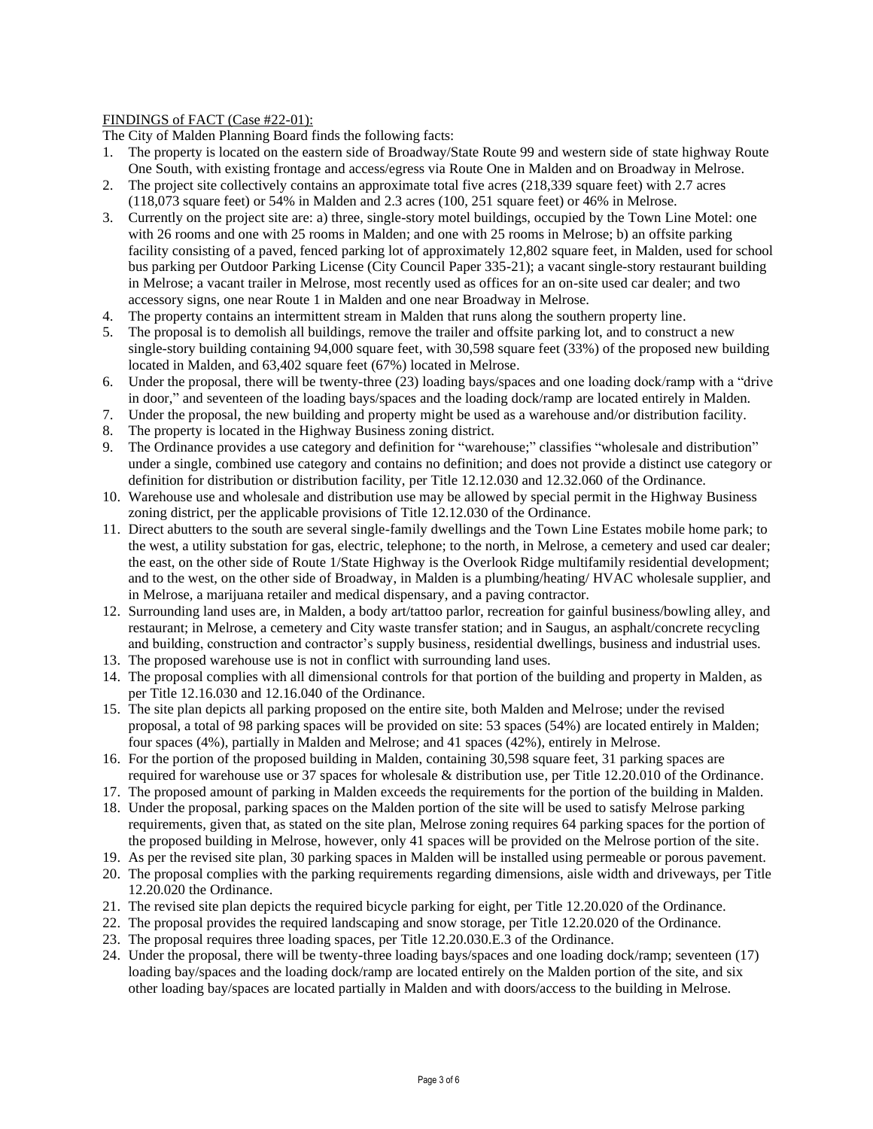# FINDINGS of FACT (Case #22-01):

The City of Malden Planning Board finds the following facts:

- 1. The property is located on the eastern side of Broadway/State Route 99 and western side of state highway Route One South, with existing frontage and access/egress via Route One in Malden and on Broadway in Melrose.
- 2. The project site collectively contains an approximate total five acres (218,339 square feet) with 2.7 acres (118,073 square feet) or 54% in Malden and 2.3 acres (100, 251 square feet) or 46% in Melrose.
- 3. Currently on the project site are: a) three, single-story motel buildings, occupied by the Town Line Motel: one with 26 rooms and one with 25 rooms in Malden; and one with 25 rooms in Melrose; b) an offsite parking facility consisting of a paved, fenced parking lot of approximately 12,802 square feet, in Malden, used for school bus parking per Outdoor Parking License (City Council Paper 335-21); a vacant single-story restaurant building in Melrose; a vacant trailer in Melrose, most recently used as offices for an on-site used car dealer; and two accessory signs, one near Route 1 in Malden and one near Broadway in Melrose.
- 4. The property contains an intermittent stream in Malden that runs along the southern property line.
- 5. The proposal is to demolish all buildings, remove the trailer and offsite parking lot, and to construct a new single-story building containing 94,000 square feet, with 30,598 square feet (33%) of the proposed new building located in Malden, and 63,402 square feet (67%) located in Melrose.
- 6. Under the proposal, there will be twenty-three (23) loading bays/spaces and one loading dock/ramp with a "drive in door," and seventeen of the loading bays/spaces and the loading dock/ramp are located entirely in Malden.
- 7. Under the proposal, the new building and property might be used as a warehouse and/or distribution facility.
- 8. The property is located in the Highway Business zoning district.
- 9. The Ordinance provides a use category and definition for "warehouse;" classifies "wholesale and distribution" under a single, combined use category and contains no definition; and does not provide a distinct use category or definition for distribution or distribution facility, per Title 12.12.030 and 12.32.060 of the Ordinance.
- 10. Warehouse use and wholesale and distribution use may be allowed by special permit in the Highway Business zoning district, per the applicable provisions of Title 12.12.030 of the Ordinance.
- 11. Direct abutters to the south are several single-family dwellings and the Town Line Estates mobile home park; to the west, a utility substation for gas, electric, telephone; to the north, in Melrose, a cemetery and used car dealer; the east, on the other side of Route 1/State Highway is the Overlook Ridge multifamily residential development; and to the west, on the other side of Broadway, in Malden is a plumbing/heating/ HVAC wholesale supplier, and in Melrose, a marijuana retailer and medical dispensary, and a paving contractor.
- 12. Surrounding land uses are, in Malden, a body art/tattoo parlor, recreation for gainful business/bowling alley, and restaurant; in Melrose, a cemetery and City waste transfer station; and in Saugus, an asphalt/concrete recycling and building, construction and contractor's supply business, residential dwellings, business and industrial uses.
- 13. The proposed warehouse use is not in conflict with surrounding land uses.
- 14. The proposal complies with all dimensional controls for that portion of the building and property in Malden, as per Title 12.16.030 and 12.16.040 of the Ordinance.
- 15. The site plan depicts all parking proposed on the entire site, both Malden and Melrose; under the revised proposal, a total of 98 parking spaces will be provided on site: 53 spaces (54%) are located entirely in Malden; four spaces (4%), partially in Malden and Melrose; and 41 spaces (42%), entirely in Melrose.
- 16. For the portion of the proposed building in Malden, containing 30,598 square feet, 31 parking spaces are required for warehouse use or 37 spaces for wholesale & distribution use, per Title 12.20.010 of the Ordinance.
- 17. The proposed amount of parking in Malden exceeds the requirements for the portion of the building in Malden.
- 18. Under the proposal, parking spaces on the Malden portion of the site will be used to satisfy Melrose parking requirements, given that, as stated on the site plan, Melrose zoning requires 64 parking spaces for the portion of the proposed building in Melrose, however, only 41 spaces will be provided on the Melrose portion of the site.
- 19. As per the revised site plan, 30 parking spaces in Malden will be installed using permeable or porous pavement.
- 20. The proposal complies with the parking requirements regarding dimensions, aisle width and driveways, per Title 12.20.020 the Ordinance.
- 21. The revised site plan depicts the required bicycle parking for eight, per Title 12.20.020 of the Ordinance.
- 22. The proposal provides the required landscaping and snow storage, per Title 12.20.020 of the Ordinance.
- 23. The proposal requires three loading spaces, per Title 12.20.030.E.3 of the Ordinance.
- 24. Under the proposal, there will be twenty-three loading bays/spaces and one loading dock/ramp; seventeen (17) loading bay/spaces and the loading dock/ramp are located entirely on the Malden portion of the site, and six other loading bay/spaces are located partially in Malden and with doors/access to the building in Melrose.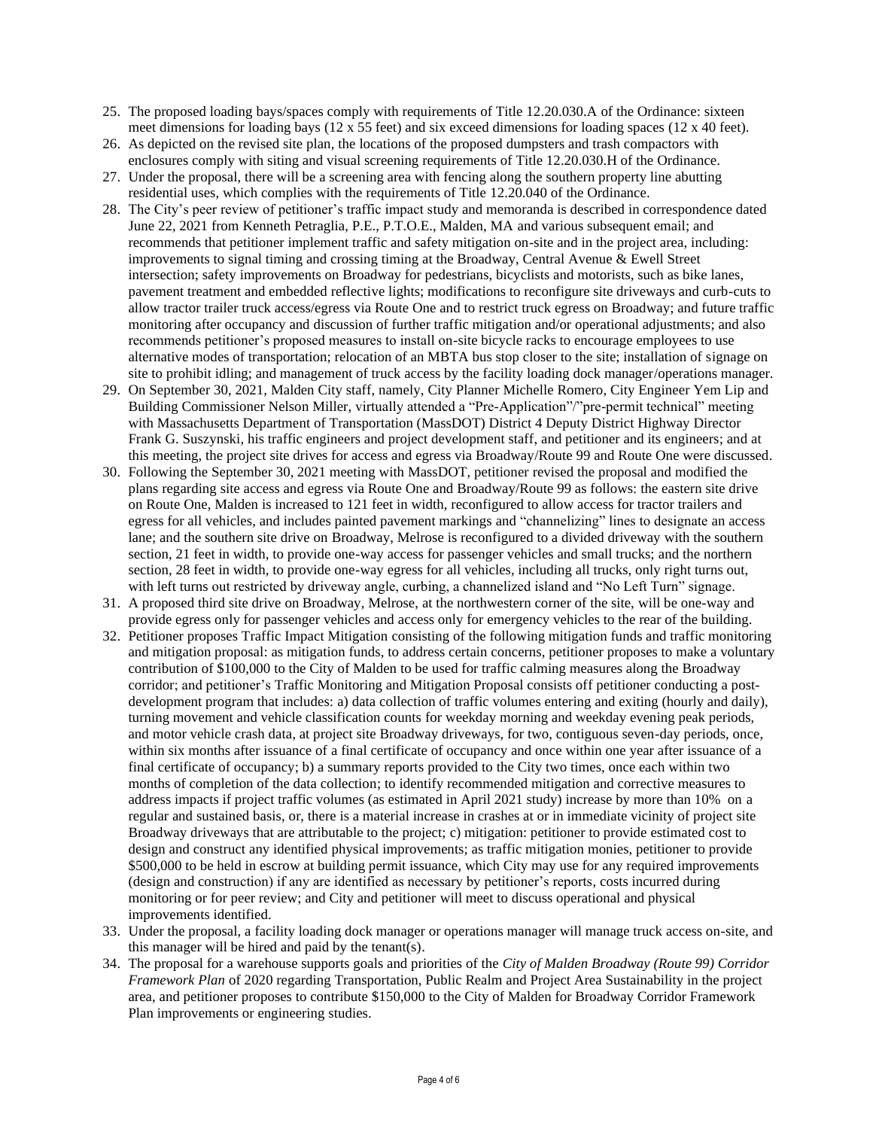- 25. The proposed loading bays/spaces comply with requirements of Title 12.20.030.A of the Ordinance: sixteen meet dimensions for loading bays (12 x 55 feet) and six exceed dimensions for loading spaces (12 x 40 feet).
- 26. As depicted on the revised site plan, the locations of the proposed dumpsters and trash compactors with enclosures comply with siting and visual screening requirements of Title 12.20.030.H of the Ordinance.
- 27. Under the proposal, there will be a screening area with fencing along the southern property line abutting residential uses, which complies with the requirements of Title 12.20.040 of the Ordinance.
- 28. The City's peer review of petitioner's traffic impact study and memoranda is described in correspondence dated June 22, 2021 from Kenneth Petraglia, P.E., P.T.O.E., Malden, MA and various subsequent email; and recommends that petitioner implement traffic and safety mitigation on-site and in the project area, including: improvements to signal timing and crossing timing at the Broadway, Central Avenue & Ewell Street intersection; safety improvements on Broadway for pedestrians, bicyclists and motorists, such as bike lanes, pavement treatment and embedded reflective lights; modifications to reconfigure site driveways and curb-cuts to allow tractor trailer truck access/egress via Route One and to restrict truck egress on Broadway; and future traffic monitoring after occupancy and discussion of further traffic mitigation and/or operational adjustments; and also recommends petitioner's proposed measures to install on-site bicycle racks to encourage employees to use alternative modes of transportation; relocation of an MBTA bus stop closer to the site; installation of signage on site to prohibit idling; and management of truck access by the facility loading dock manager/operations manager.
- 29. On September 30, 2021, Malden City staff, namely, City Planner Michelle Romero, City Engineer Yem Lip and Building Commissioner Nelson Miller, virtually attended a "Pre-Application"/"pre-permit technical" meeting with Massachusetts Department of Transportation (MassDOT) District 4 Deputy District Highway Director Frank G. Suszynski, his traffic engineers and project development staff, and petitioner and its engineers; and at this meeting, the project site drives for access and egress via Broadway/Route 99 and Route One were discussed.
- 30. Following the September 30, 2021 meeting with MassDOT, petitioner revised the proposal and modified the plans regarding site access and egress via Route One and Broadway/Route 99 as follows: the eastern site drive on Route One, Malden is increased to 121 feet in width, reconfigured to allow access for tractor trailers and egress for all vehicles, and includes painted pavement markings and "channelizing" lines to designate an access lane; and the southern site drive on Broadway, Melrose is reconfigured to a divided driveway with the southern section, 21 feet in width, to provide one-way access for passenger vehicles and small trucks; and the northern section, 28 feet in width, to provide one-way egress for all vehicles, including all trucks, only right turns out, with left turns out restricted by driveway angle, curbing, a channelized island and "No Left Turn" signage.
- 31. A proposed third site drive on Broadway, Melrose, at the northwestern corner of the site, will be one-way and provide egress only for passenger vehicles and access only for emergency vehicles to the rear of the building.
- 32. Petitioner proposes Traffic Impact Mitigation consisting of the following mitigation funds and traffic monitoring and mitigation proposal: as mitigation funds, to address certain concerns, petitioner proposes to make a voluntary contribution of \$100,000 to the City of Malden to be used for traffic calming measures along the Broadway corridor; and petitioner's Traffic Monitoring and Mitigation Proposal consists off petitioner conducting a postdevelopment program that includes: a) data collection of traffic volumes entering and exiting (hourly and daily), turning movement and vehicle classification counts for weekday morning and weekday evening peak periods, and motor vehicle crash data, at project site Broadway driveways, for two, contiguous seven-day periods, once, within six months after issuance of a final certificate of occupancy and once within one year after issuance of a final certificate of occupancy; b) a summary reports provided to the City two times, once each within two months of completion of the data collection; to identify recommended mitigation and corrective measures to address impacts if project traffic volumes (as estimated in April 2021 study) increase by more than 10% on a regular and sustained basis, or, there is a material increase in crashes at or in immediate vicinity of project site Broadway driveways that are attributable to the project; c) mitigation: petitioner to provide estimated cost to design and construct any identified physical improvements; as traffic mitigation monies, petitioner to provide \$500,000 to be held in escrow at building permit issuance, which City may use for any required improvements (design and construction) if any are identified as necessary by petitioner's reports, costs incurred during monitoring or for peer review; and City and petitioner will meet to discuss operational and physical improvements identified.
- 33. Under the proposal, a facility loading dock manager or operations manager will manage truck access on-site, and this manager will be hired and paid by the tenant(s).
- 34. The proposal for a warehouse supports goals and priorities of the *City of Malden Broadway (Route 99) Corridor Framework Plan* of 2020 regarding Transportation, Public Realm and Project Area Sustainability in the project area, and petitioner proposes to contribute \$150,000 to the City of Malden for Broadway Corridor Framework Plan improvements or engineering studies.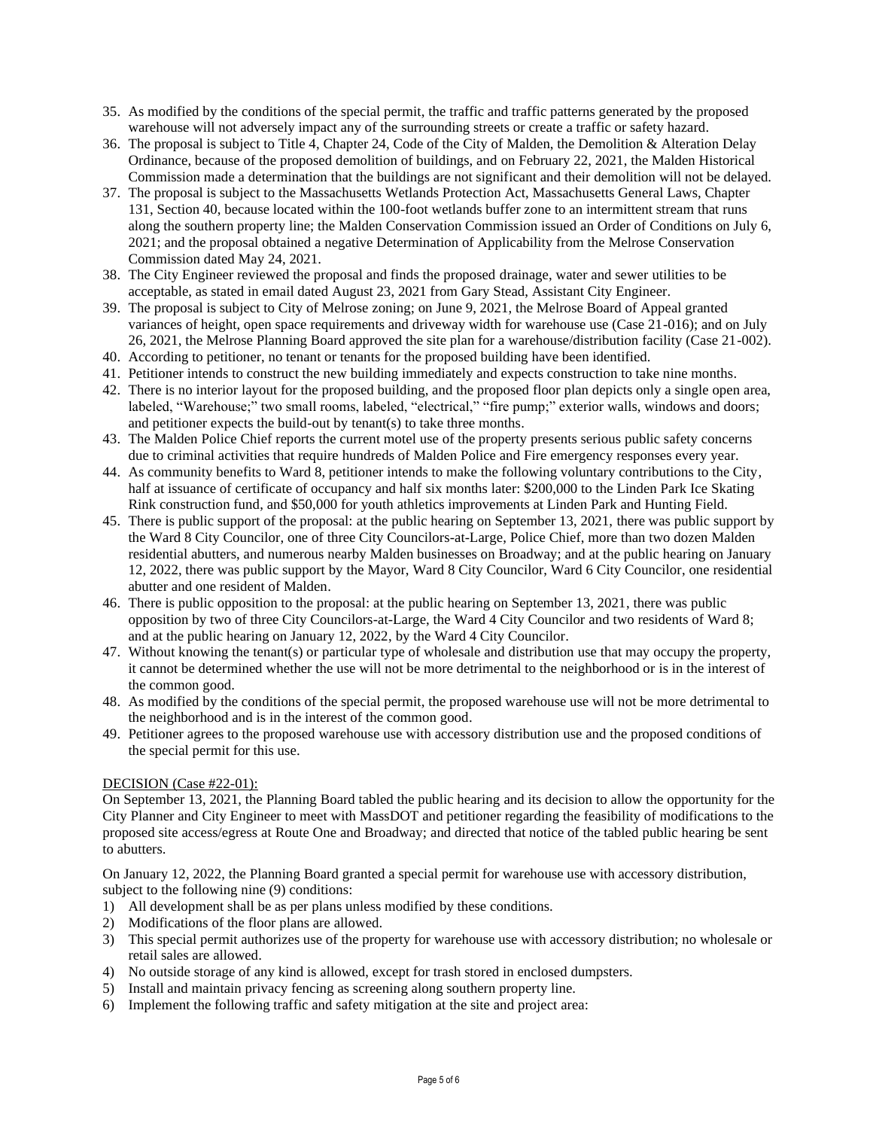- 35. As modified by the conditions of the special permit, the traffic and traffic patterns generated by the proposed warehouse will not adversely impact any of the surrounding streets or create a traffic or safety hazard.
- 36. The proposal is subject to Title 4, Chapter 24, Code of the City of Malden, the Demolition & Alteration Delay Ordinance, because of the proposed demolition of buildings, and on February 22, 2021, the Malden Historical Commission made a determination that the buildings are not significant and their demolition will not be delayed.
- 37. The proposal is subject to the Massachusetts Wetlands Protection Act, Massachusetts General Laws, Chapter 131, Section 40, because located within the 100-foot wetlands buffer zone to an intermittent stream that runs along the southern property line; the Malden Conservation Commission issued an Order of Conditions on July 6, 2021; and the proposal obtained a negative Determination of Applicability from the Melrose Conservation Commission dated May 24, 2021.
- 38. The City Engineer reviewed the proposal and finds the proposed drainage, water and sewer utilities to be acceptable, as stated in email dated August 23, 2021 from Gary Stead, Assistant City Engineer.
- 39. The proposal is subject to City of Melrose zoning; on June 9, 2021, the Melrose Board of Appeal granted variances of height, open space requirements and driveway width for warehouse use (Case 21-016); and on July 26, 2021, the Melrose Planning Board approved the site plan for a warehouse/distribution facility (Case 21-002).
- 40. According to petitioner, no tenant or tenants for the proposed building have been identified.
- 41. Petitioner intends to construct the new building immediately and expects construction to take nine months.
- 42. There is no interior layout for the proposed building, and the proposed floor plan depicts only a single open area, labeled, "Warehouse;" two small rooms, labeled, "electrical," "fire pump;" exterior walls, windows and doors; and petitioner expects the build-out by tenant(s) to take three months.
- 43. The Malden Police Chief reports the current motel use of the property presents serious public safety concerns due to criminal activities that require hundreds of Malden Police and Fire emergency responses every year.
- 44. As community benefits to Ward 8, petitioner intends to make the following voluntary contributions to the City, half at issuance of certificate of occupancy and half six months later: \$200,000 to the Linden Park Ice Skating Rink construction fund, and \$50,000 for youth athletics improvements at Linden Park and Hunting Field.
- 45. There is public support of the proposal: at the public hearing on September 13, 2021, there was public support by the Ward 8 City Councilor, one of three City Councilors-at-Large, Police Chief, more than two dozen Malden residential abutters, and numerous nearby Malden businesses on Broadway; and at the public hearing on January 12, 2022, there was public support by the Mayor, Ward 8 City Councilor, Ward 6 City Councilor, one residential abutter and one resident of Malden.
- 46. There is public opposition to the proposal: at the public hearing on September 13, 2021, there was public opposition by two of three City Councilors-at-Large, the Ward 4 City Councilor and two residents of Ward 8; and at the public hearing on January 12, 2022, by the Ward 4 City Councilor.
- 47. Without knowing the tenant(s) or particular type of wholesale and distribution use that may occupy the property, it cannot be determined whether the use will not be more detrimental to the neighborhood or is in the interest of the common good.
- 48. As modified by the conditions of the special permit, the proposed warehouse use will not be more detrimental to the neighborhood and is in the interest of the common good.
- 49. Petitioner agrees to the proposed warehouse use with accessory distribution use and the proposed conditions of the special permit for this use.

# DECISION (Case #22-01):

On September 13, 2021, the Planning Board tabled the public hearing and its decision to allow the opportunity for the City Planner and City Engineer to meet with MassDOT and petitioner regarding the feasibility of modifications to the proposed site access/egress at Route One and Broadway; and directed that notice of the tabled public hearing be sent to abutters.

On January 12, 2022, the Planning Board granted a special permit for warehouse use with accessory distribution, subject to the following nine (9) conditions:

- 1) All development shall be as per plans unless modified by these conditions.
- 2) Modifications of the floor plans are allowed.
- 3) This special permit authorizes use of the property for warehouse use with accessory distribution; no wholesale or retail sales are allowed.
- 4) No outside storage of any kind is allowed, except for trash stored in enclosed dumpsters.
- 5) Install and maintain privacy fencing as screening along southern property line.
- 6) Implement the following traffic and safety mitigation at the site and project area: